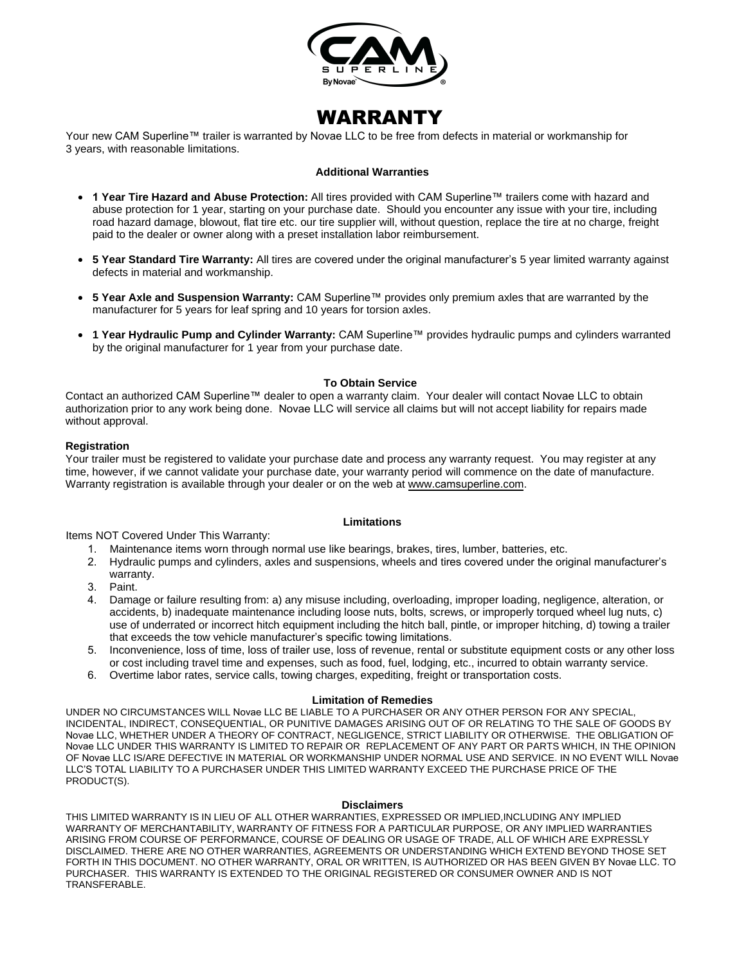

# WARRANTY

Your new CAM Superline™ trailer is warranted by Novae LLC to be free from defects in material or workmanship for 3 years, with reasonable limitations.

#### **Additional Warranties**

- **1 Year Tire Hazard and Abuse Protection:** All tires provided with CAM Superline™ trailers come with hazard and abuse protection for 1 year, starting on your purchase date. Should you encounter any issue with your tire, including road hazard damage, blowout, flat tire etc. our tire supplier will, without question, replace the tire at no charge, freight paid to the dealer or owner along with a preset installation labor reimbursement.
- **5 Year Standard Tire Warranty:** All tires are covered under the original manufacturer's 5 year limited warranty against defects in material and workmanship.
- **5 Year Axle and Suspension Warranty:** CAM Superline™ provides only premium axles that are warranted by the manufacturer for 5 years for leaf spring and 10 years for torsion axles.
- **1 Year Hydraulic Pump and Cylinder Warranty:** CAM Superline™ provides hydraulic pumps and cylinders warranted by the original manufacturer for 1 year from your purchase date.

#### **To Obtain Service**

Contact an authorized CAM Superline™ dealer to open a warranty claim. Your dealer will contact Novae LLC to obtain authorization prior to any work being done. Novae LLC will service all claims but will not accept liability for repairs made without approval.

#### **Registration**

Your trailer must be registered to validate your purchase date and process any warranty request. You may register at any time, however, if we cannot validate your purchase date, your warranty period will commence on the date of manufacture. Warranty registration is available through your dealer or on the web at www.[camsuperline](http://www.sure-trac.com/).com.

#### **Limitations**

Items NOT Covered Under This Warranty:

- 1. Maintenance items worn through normal use like bearings, brakes, tires, lumber, batteries, etc.
- 2. Hydraulic pumps and cylinders, axles and suspensions, wheels and tires covered under the original manufacturer's warranty.
- 3. Paint.
- 4. Damage or failure resulting from: a) any misuse including, overloading, improper loading, negligence, alteration, or accidents, b) inadequate maintenance including loose nuts, bolts, screws, or improperly torqued wheel lug nuts, c) use of underrated or incorrect hitch equipment including the hitch ball, pintle, or improper hitching, d) towing a trailer that exceeds the tow vehicle manufacturer's specific towing limitations.
- 5. Inconvenience, loss of time, loss of trailer use, loss of revenue, rental or substitute equipment costs or any other loss or cost including travel time and expenses, such as food, fuel, lodging, etc., incurred to obtain warranty service.
- 6. Overtime labor rates, service calls, towing charges, expediting, freight or transportation costs.

#### **Limitation of Remedies**

UNDER NO CIRCUMSTANCES WILL Novae LLC BE LIABLE TO A PURCHASER OR ANY OTHER PERSON FOR ANY SPECIAL, INCIDENTAL, INDIRECT, CONSEQUENTIAL, OR PUNITIVE DAMAGES ARISING OUT OF OR RELATING TO THE SALE OF GOODS BY Novae LLC, WHETHER UNDER A THEORY OF CONTRACT, NEGLIGENCE, STRICT LIABILITY OR OTHERWISE. THE OBLIGATION OF Novae LLC UNDER THIS WARRANTY IS LIMITED TO REPAIR OR REPLACEMENT OF ANY PART OR PARTS WHICH, IN THE OPINION OF Novae LLC IS/ARE DEFECTIVE IN MATERIAL OR WORKMANSHIP UNDER NORMAL USE AND SERVICE. IN NO EVENT WILL Novae LLC'S TOTAL LIABILITY TO A PURCHASER UNDER THIS LIMITED WARRANTY EXCEED THE PURCHASE PRICE OF THE PRODUCT(S).

#### **Disclaimers**

THIS LIMITED WARRANTY IS IN LIEU OF ALL OTHER WARRANTIES, EXPRESSED OR IMPLIED,INCLUDING ANY IMPLIED WARRANTY OF MERCHANTABILITY, WARRANTY OF FITNESS FOR A PARTICULAR PURPOSE, OR ANY IMPLIED WARRANTIES ARISING FROM COURSE OF PERFORMANCE, COURSE OF DEALING OR USAGE OF TRADE, ALL OF WHICH ARE EXPRESSLY DISCLAIMED. THERE ARE NO OTHER WARRANTIES, AGREEMENTS OR UNDERSTANDING WHICH EXTEND BEYOND THOSE SET FORTH IN THIS DOCUMENT. NO OTHER WARRANTY, ORAL OR WRITTEN, IS AUTHORIZED OR HAS BEEN GIVEN BY Novae LLC. TO PURCHASER. THIS WARRANTY IS EXTENDED TO THE ORIGINAL REGISTERED OR CONSUMER OWNER AND IS NOT TRANSFERABLE.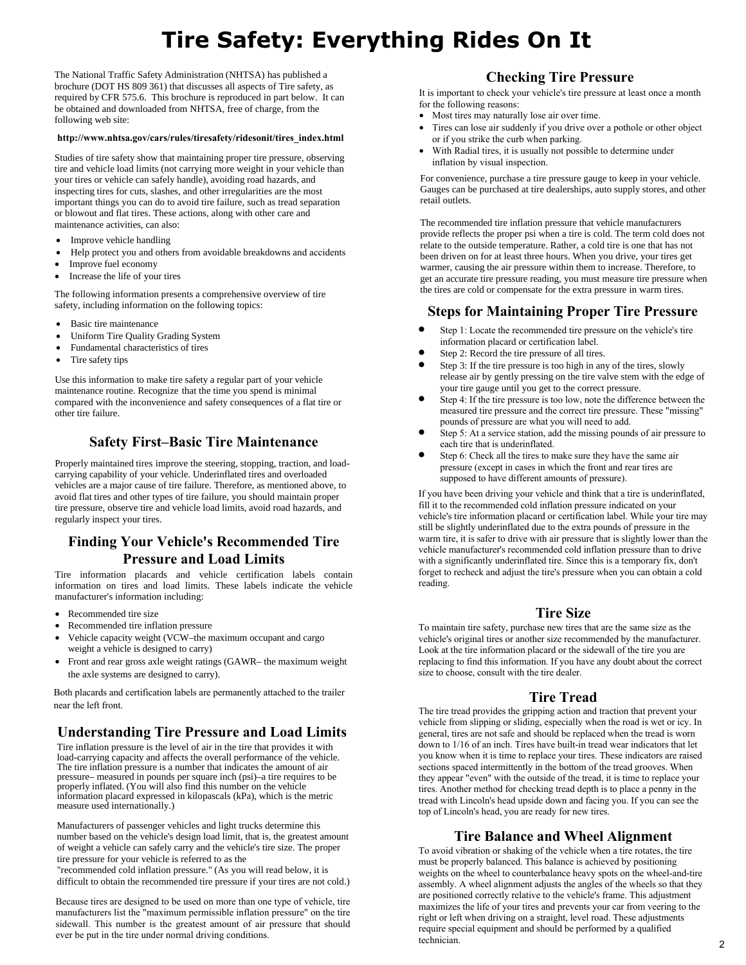# **Tire Safety: Everything Rides On It**

The National Traffic Safety Administration (NHTSA) has published a brochure (DOT HS 809 361) that discusses all aspects of Tire safety, as required by CFR 575.6. This brochure is reproduced in part below. It can be obtained and downloaded from NHTSA, free of charge, from the following web site:

#### **http://www.nhtsa.gov/cars/rules/tiresafety/ridesonit/tires\_index.html**

Studies of tire safety show that maintaining proper tire pressure, observing tire and vehicle load limits (not carrying more weight in your vehicle than your tires or vehicle can safely handle), avoiding road hazards, and inspecting tires for cuts, slashes, and other irregularities are the most important things you can do to avoid tire failure, such as tread separation or blowout and flat tires. These actions, along with other care and maintenance activities, can also:

- Improve vehicle handling
- Help protect you and others from avoidable breakdowns and accidents
- Improve fuel economy
- Increase the life of your tires

The following information presents a comprehensive overview of tire safety, including information on the following topics:

- Basic tire maintenance
- Uniform Tire Quality Grading System
- Fundamental characteristics of tires
- Tire safety tips

Use this information to make tire safety a regular part of your vehicle maintenance routine. Recognize that the time you spend is minimal compared with the inconvenience and safety consequences of a flat tire or other tire failure.

# **Safety First–Basic Tire Maintenance**

Properly maintained tires improve the steering, stopping, traction, and loadcarrying capability of your vehicle. Underinflated tires and overloaded vehicles are a major cause of tire failure. Therefore, as mentioned above, to avoid flat tires and other types of tire failure, you should maintain proper tire pressure, observe tire and vehicle load limits, avoid road hazards, and regularly inspect your tires.

# **Finding Your Vehicle's Recommended Tire Pressure and Load Limits**

Tire information placards and vehicle certification labels contain information on tires and load limits. These labels indicate the vehicle manufacturer's information including:

- Recommended tire size
- Recommended tire inflation pressure
- Vehicle capacity weight (VCW–the maximum occupant and cargo
- weight a vehicle is designed to carry) • Front and rear gross axle weight ratings (GAWR– the maximum weight the axle systems are designed to carry).

Both placards and certification labels are permanently attached to the trailer near the left front.

# **Understanding Tire Pressure and Load Limits**

Tire inflation pressure is the level of air in the tire that provides it with load-carrying capacity and affects the overall performance of the vehicle. The tire inflation pressure is a number that indicates the amount of air pressure– measured in pounds per square inch (psi)–a tire requires to be properly inflated. (You will also find this number on the vehicle information placard expressed in kilopascals (kPa), which is the metric measure used internationally.)

Manufacturers of passenger vehicles and light trucks determine this number based on the vehicle's design load limit, that is, the greatest amount of weight a vehicle can safely carry and the vehicle's tire size. The proper tire pressure for your vehicle is referred to as the

"recommended cold inflation pressure." (As you will read below, it is difficult to obtain the recommended tire pressure if your tires are not cold.)

Because tires are designed to be used on more than one type of vehicle, tire manufacturers list the "maximum permissible inflation pressure" on the tire sidewall. This number is the greatest amount of air pressure that should ever be put in the tire under normal driving conditions.

# **Checking Tire Pressure**

It is important to check your vehicle's tire pressure at least once a month for the following reasons:

- Most tires may naturally lose air over time.
- Tires can lose air suddenly if you drive over a pothole or other object or if you strike the curb when parking.
- With Radial tires, it is usually not possible to determine under inflation by visual inspection.

For convenience, purchase a tire pressure gauge to keep in your vehicle. Gauges can be purchased at tire dealerships, auto supply stores, and other retail outlets.

The recommended tire inflation pressure that vehicle manufacturers provide reflects the proper psi when a tire is cold. The term cold does not relate to the outside temperature. Rather, a cold tire is one that has not been driven on for at least three hours. When you drive, your tires get warmer, causing the air pressure within them to increase. Therefore, to get an accurate tire pressure reading, you must measure tire pressure when the tires are cold or compensate for the extra pressure in warm tires.

## **Steps for Maintaining Proper Tire Pressure**

- Step 1: Locate the recommended tire pressure on the vehicle's tire information placard or certification label.
- Step 2: Record the tire pressure of all tires.
- Step 3: If the tire pressure is too high in any of the tires, slowly release air by gently pressing on the tire valve stem with the edge of your tire gauge until you get to the correct pressure.
- Step 4: If the tire pressure is too low, note the difference between the measured tire pressure and the correct tire pressure. These "missing" pounds of pressure are what you will need to add.
- Step 5: At a service station, add the missing pounds of air pressure to each tire that is underinflated.
- Step 6: Check all the tires to make sure they have the same air pressure (except in cases in which the front and rear tires are supposed to have different amounts of pressure).

If you have been driving your vehicle and think that a tire is underinflated, fill it to the recommended cold inflation pressure indicated on your vehicle's tire information placard or certification label. While your tire may still be slightly underinflated due to the extra pounds of pressure in the warm tire, it is safer to drive with air pressure that is slightly lower than the vehicle manufacturer's recommended cold inflation pressure than to drive with a significantly underinflated tire. Since this is a temporary fix, don't forget to recheck and adjust the tire's pressure when you can obtain a cold reading.

## **Tire Size**

To maintain tire safety, purchase new tires that are the same size as the vehicle's original tires or another size recommended by the manufacturer. Look at the tire information placard or the sidewall of the tire you are replacing to find this information. If you have any doubt about the correct size to choose, consult with the tire dealer.

## **Tire Tread**

The tire tread provides the gripping action and traction that prevent your vehicle from slipping or sliding, especially when the road is wet or icy. In general, tires are not safe and should be replaced when the tread is worn down to 1/16 of an inch. Tires have built-in tread wear indicators that let you know when it is time to replace your tires. These indicators are raised sections spaced intermittently in the bottom of the tread grooves. When they appear "even" with the outside of the tread, it is time to replace your tires. Another method for checking tread depth is to place a penny in the tread with Lincoln's head upside down and facing you. If you can see the top of Lincoln's head, you are ready for new tires.

## **Tire Balance and Wheel Alignment**

To avoid vibration or shaking of the vehicle when a tire rotates, the tire must be properly balanced. This balance is achieved by positioning weights on the wheel to counterbalance heavy spots on the wheel-and-tire assembly. A wheel alignment adjusts the angles of the wheels so that they are positioned correctly relative to the vehicle's frame. This adjustment maximizes the life of your tires and prevents your car from veering to the right or left when driving on a straight, level road. These adjustments require special equipment and should be performed by a qualified technician.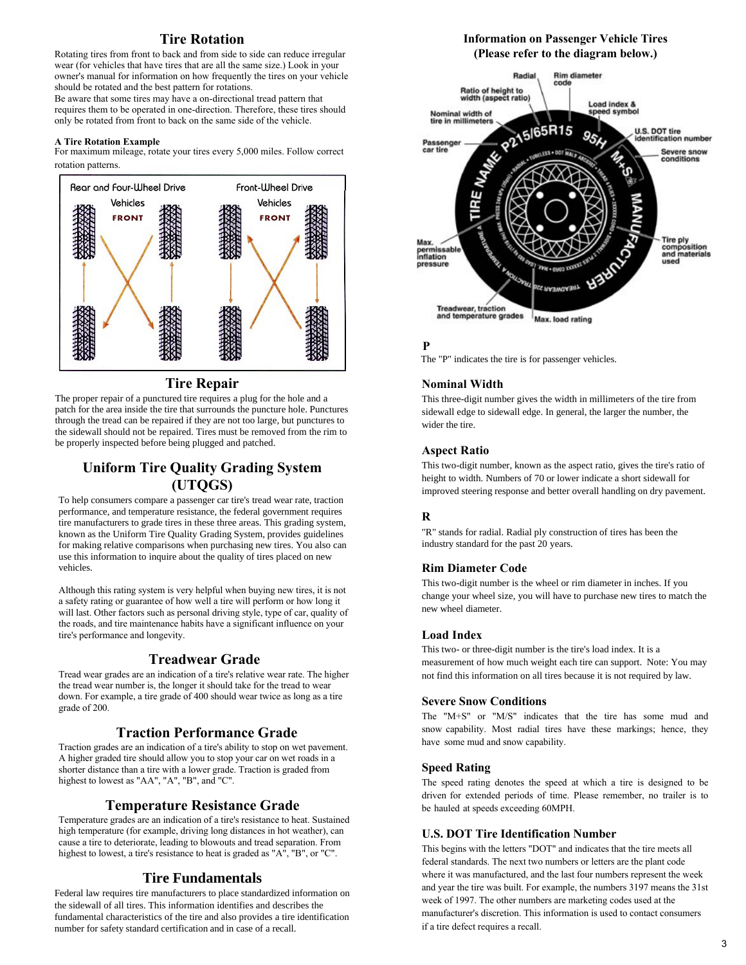# **Tire Rotation**

Rotating tires from front to back and from side to side can reduce irregular wear (for vehicles that have tires that are all the same size.) Look in your owner's manual for information on how frequently the tires on your vehicle should be rotated and the best pattern for rotations.

Be aware that some tires may have a on-directional tread pattern that requires them to be operated in one-direction. Therefore, these tires should only be rotated from front to back on the same side of the vehicle.

#### **A Tire Rotation Example**

For maximum mileage, rotate your tires every 5,000 miles. Follow correct rotation patterns.



#### **Tire Repair**

The proper repair of a punctured tire requires a plug for the hole and a patch for the area inside the tire that surrounds the puncture hole. Punctures through the tread can be repaired if they are not too large, but punctures to the sidewall should not be repaired. Tires must be removed from the rim to be properly inspected before being plugged and patched.

# **Uniform Tire Quality Grading System (UTQGS)**

To help consumers compare a passenger car tire's tread wear rate, traction performance, and temperature resistance, the federal government requires tire manufacturers to grade tires in these three areas. This grading system, known as the Uniform Tire Quality Grading System, provides guidelines for making relative comparisons when purchasing new tires. You also can use this information to inquire about the quality of tires placed on new vehicles.

Although this rating system is very helpful when buying new tires, it is not a safety rating or guarantee of how well a tire will perform or how long it will last. Other factors such as personal driving style, type of car, quality of the roads, and tire maintenance habits have a significant influence on your tire's performance and longevity.

## **Treadwear Grade**

Tread wear grades are an indication of a tire's relative wear rate. The higher the tread wear number is, the longer it should take for the tread to wear down. For example, a tire grade of 400 should wear twice as long as a tire grade of 200.

## **Traction Performance Grade**

Traction grades are an indication of a tire's ability to stop on wet pavement. A higher graded tire should allow you to stop your car on wet roads in a shorter distance than a tire with a lower grade. Traction is graded from highest to lowest as "AA", "A", "B", and "C".

#### **Temperature Resistance Grade**

Temperature grades are an indication of a tire's resistance to heat. Sustained high temperature (for example, driving long distances in hot weather), can cause a tire to deteriorate, leading to blowouts and tread separation. From highest to lowest, a tire's resistance to heat is graded as "A", "B", or "C".

## **Tire Fundamentals**

Federal law requires tire manufacturers to place standardized information on the sidewall of all tires. This information identifies and describes the fundamental characteristics of the tire and also provides a tire identification number for safety standard certification and in case of a recall.

#### **Information on Passenger Vehicle Tires (Please refer to the diagram below.)**



#### **P**

The "P" indicates the tire is for passenger vehicles.

#### **Nominal Width**

This three-digit number gives the width in millimeters of the tire from sidewall edge to sidewall edge. In general, the larger the number, the wider the tire.

#### **Aspect Ratio**

This two-digit number, known as the aspect ratio, gives the tire's ratio of height to width. Numbers of 70 or lower indicate a short sidewall for improved steering response and better overall handling on dry pavement.

#### **R**

"R" stands for radial. Radial ply construction of tires has been the industry standard for the past 20 years.

#### **Rim Diameter Code**

This two-digit number is the wheel or rim diameter in inches. If you change your wheel size, you will have to purchase new tires to match the new wheel diameter.

#### **Load Index**

This two- or three-digit number is the tire's load index. It is a measurement of how much weight each tire can support. Note: You may not find this information on all tires because it is not required by law.

#### **Severe Snow Conditions**

The "M+S" or "M/S" indicates that the tire has some mud and snow capability. Most radial tires have these markings; hence, they have some mud and snow capability.

#### **Speed Rating**

The speed rating denotes the speed at which a tire is designed to be driven for extended periods of time. Please remember, no trailer is to be hauled at speeds exceeding 60MPH.

#### **U.S. DOT Tire Identification Number**

This begins with the letters "DOT" and indicates that the tire meets all federal standards. The next two numbers or letters are the plant code where it was manufactured, and the last four numbers represent the week and year the tire was built. For example, the numbers 3197 means the 31st week of 1997. The other numbers are marketing codes used at the manufacturer's discretion. This information is used to contact consumers if a tire defect requires a recall.